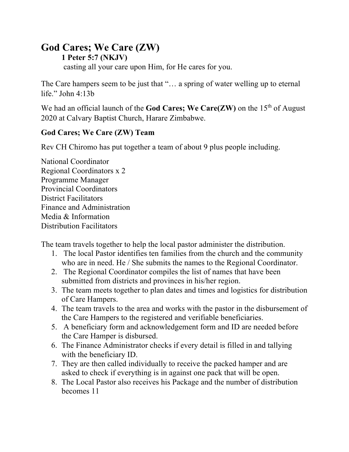# **God Cares; We Care (ZW)**

### **1 Peter 5:7 (NKJV)**

casting all your care upon Him, for He cares for you.

The Care hampers seem to be just that "… a spring of water welling up to eternal life." John 4:13b

We had an official launch of the **God Cares; We Care(ZW)** on the 15<sup>th</sup> of August 2020 at Calvary Baptist Church, Harare Zimbabwe.

## **God Cares; We Care (ZW) Team**

Rev CH Chiromo has put together a team of about 9 plus people including.

National Coordinator Regional Coordinators x 2 Programme Manager Provincial Coordinators District Facilitators Finance and Administration Media & Information Distribution Facilitators

The team travels together to help the local pastor administer the distribution.

- 1. The local Pastor identifies ten families from the church and the community who are in need. He / She submits the names to the Regional Coordinator.
- 2. The Regional Coordinator compiles the list of names that have been submitted from districts and provinces in his/her region.
- 3. The team meets together to plan dates and times and logistics for distribution of Care Hampers.
- 4. The team travels to the area and works with the pastor in the disbursement of the Care Hampers to the registered and verifiable beneficiaries.
- 5. A beneficiary form and acknowledgement form and ID are needed before the Care Hamper is disbursed.
- 6. The Finance Administrator checks if every detail is filled in and tallying with the beneficiary ID.
- 7. They are then called individually to receive the packed hamper and are asked to check if everything is in against one pack that will be open.
- 8. The Local Pastor also receives his Package and the number of distribution becomes 11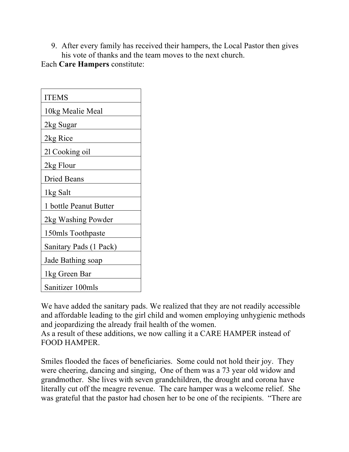9. After every family has received their hampers, the Local Pastor then gives his vote of thanks and the team moves to the next church.

Each **Care Hampers** constitute:

| <b>ITEMS</b>           |
|------------------------|
| 10kg Mealie Meal       |
| 2kg Sugar              |
| 2kg Rice               |
| 21 Cooking oil         |
| 2kg Flour              |
| <b>Dried Beans</b>     |
| 1kg Salt               |
| 1 bottle Peanut Butter |
| 2kg Washing Powder     |
| 150mls Toothpaste      |
| Sanitary Pads (1 Pack) |
| Jade Bathing soap      |
| 1kg Green Bar          |
| Sanitizer 100mls       |

We have added the sanitary pads. We realized that they are not readily accessible and affordable leading to the girl child and women employing unhygienic methods and jeopardizing the already frail health of the women.

As a result of these additions, we now calling it a CARE HAMPER instead of FOOD HAMPER.

Smiles flooded the faces of beneficiaries. Some could not hold their joy. They were cheering, dancing and singing, One of them was a 73 year old widow and grandmother. She lives with seven grandchildren, the drought and corona have literally cut off the meagre revenue. The care hamper was a welcome relief. She was grateful that the pastor had chosen her to be one of the recipients. "There are